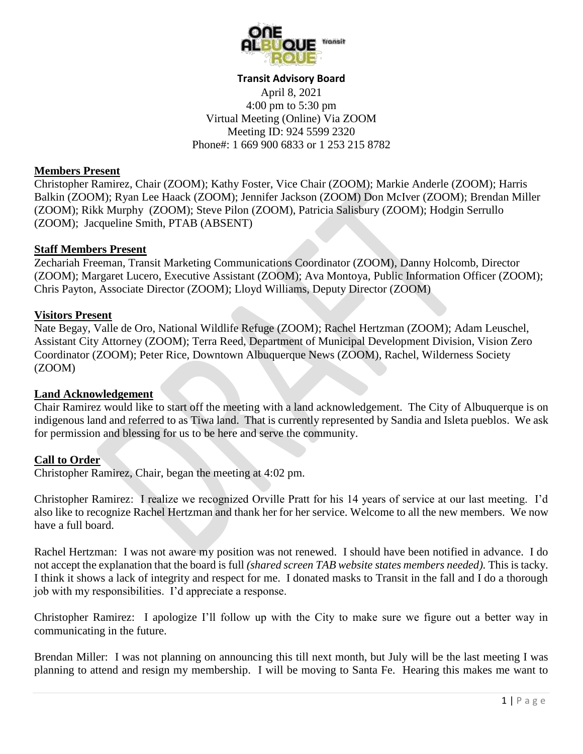

#### **Transit Advisory Board**

April 8, 2021 4:00 pm to 5:30 pm Virtual Meeting (Online) Via ZOOM Meeting ID: 924 5599 2320 Phone#: 1 669 900 6833 or 1 253 215 8782

#### **Members Present**

Christopher Ramirez, Chair (ZOOM); Kathy Foster, Vice Chair (ZOOM); Markie Anderle (ZOOM); Harris Balkin (ZOOM); Ryan Lee Haack (ZOOM); Jennifer Jackson (ZOOM) Don McIver (ZOOM); Brendan Miller (ZOOM); Rikk Murphy (ZOOM); Steve Pilon (ZOOM), Patricia Salisbury (ZOOM); Hodgin Serrullo (ZOOM); Jacqueline Smith, PTAB (ABSENT)

#### **Staff Members Present**

Zechariah Freeman, Transit Marketing Communications Coordinator (ZOOM), Danny Holcomb, Director (ZOOM); Margaret Lucero, Executive Assistant (ZOOM); Ava Montoya, Public Information Officer (ZOOM); Chris Payton, Associate Director (ZOOM); Lloyd Williams, Deputy Director (ZOOM)

#### **Visitors Present**

Nate Begay, Valle de Oro, National Wildlife Refuge (ZOOM); Rachel Hertzman (ZOOM); Adam Leuschel, Assistant City Attorney (ZOOM); Terra Reed, Department of Municipal Development Division, Vision Zero Coordinator (ZOOM); Peter Rice, Downtown Albuquerque News (ZOOM), Rachel, Wilderness Society (ZOOM)

### **Land Acknowledgement**

Chair Ramirez would like to start off the meeting with a land acknowledgement. The City of Albuquerque is on indigenous land and referred to as Tiwa land. That is currently represented by Sandia and Isleta pueblos. We ask for permission and blessing for us to be here and serve the community.

### **Call to Order**

Christopher Ramirez, Chair, began the meeting at 4:02 pm.

Christopher Ramirez: I realize we recognized Orville Pratt for his 14 years of service at our last meeting. I'd also like to recognize Rachel Hertzman and thank her for her service. Welcome to all the new members. We now have a full board.

Rachel Hertzman: I was not aware my position was not renewed. I should have been notified in advance. I do not accept the explanation that the board is full *(shared screen TAB website states members needed).* This is tacky. I think it shows a lack of integrity and respect for me. I donated masks to Transit in the fall and I do a thorough job with my responsibilities. I'd appreciate a response.

Christopher Ramirez: I apologize I'll follow up with the City to make sure we figure out a better way in communicating in the future.

Brendan Miller: I was not planning on announcing this till next month, but July will be the last meeting I was planning to attend and resign my membership. I will be moving to Santa Fe. Hearing this makes me want to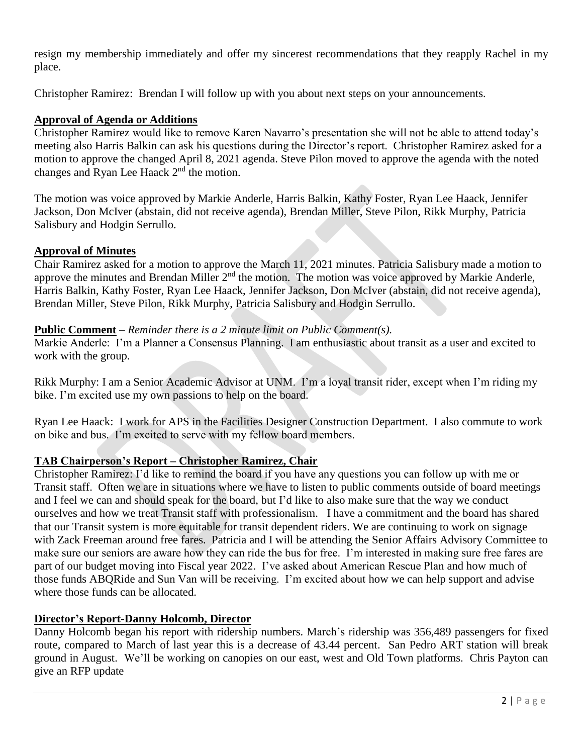resign my membership immediately and offer my sincerest recommendations that they reapply Rachel in my place.

Christopher Ramirez: Brendan I will follow up with you about next steps on your announcements.

## **Approval of Agenda or Additions**

Christopher Ramirez would like to remove Karen Navarro's presentation she will not be able to attend today's meeting also Harris Balkin can ask his questions during the Director's report. Christopher Ramirez asked for a motion to approve the changed April 8, 2021 agenda. Steve Pilon moved to approve the agenda with the noted changes and Ryan Lee Haack 2<sup>nd</sup> the motion.

The motion was voice approved by Markie Anderle, Harris Balkin, Kathy Foster, Ryan Lee Haack, Jennifer Jackson, Don McIver (abstain, did not receive agenda), Brendan Miller, Steve Pilon, Rikk Murphy, Patricia Salisbury and Hodgin Serrullo.

### **Approval of Minutes**

Chair Ramirez asked for a motion to approve the March 11, 2021 minutes. Patricia Salisbury made a motion to approve the minutes and Brendan Miller  $2<sup>nd</sup>$  the motion. The motion was voice approved by Markie Anderle, Harris Balkin, Kathy Foster, Ryan Lee Haack, Jennifer Jackson, Don McIver (abstain, did not receive agenda), Brendan Miller, Steve Pilon, Rikk Murphy, Patricia Salisbury and Hodgin Serrullo.

### **Public Comment** – *Reminder there is a 2 minute limit on Public Comment(s).*

Markie Anderle: I'm a Planner a Consensus Planning. I am enthusiastic about transit as a user and excited to work with the group.

Rikk Murphy: I am a Senior Academic Advisor at UNM. I'm a loyal transit rider, except when I'm riding my bike. I'm excited use my own passions to help on the board.

Ryan Lee Haack: I work for APS in the Facilities Designer Construction Department. I also commute to work on bike and bus. I'm excited to serve with my fellow board members.

### **TAB Chairperson's Report – Christopher Ramirez, Chair**

Christopher Ramirez: I'd like to remind the board if you have any questions you can follow up with me or Transit staff. Often we are in situations where we have to listen to public comments outside of board meetings and I feel we can and should speak for the board, but I'd like to also make sure that the way we conduct ourselves and how we treat Transit staff with professionalism. I have a commitment and the board has shared that our Transit system is more equitable for transit dependent riders. We are continuing to work on signage with Zack Freeman around free fares. Patricia and I will be attending the Senior Affairs Advisory Committee to make sure our seniors are aware how they can ride the bus for free. I'm interested in making sure free fares are part of our budget moving into Fiscal year 2022. I've asked about American Rescue Plan and how much of those funds ABQRide and Sun Van will be receiving. I'm excited about how we can help support and advise where those funds can be allocated.

### **Director's Report-Danny Holcomb, Director**

Danny Holcomb began his report with ridership numbers. March's ridership was 356,489 passengers for fixed route, compared to March of last year this is a decrease of 43.44 percent. San Pedro ART station will break ground in August. We'll be working on canopies on our east, west and Old Town platforms. Chris Payton can give an RFP update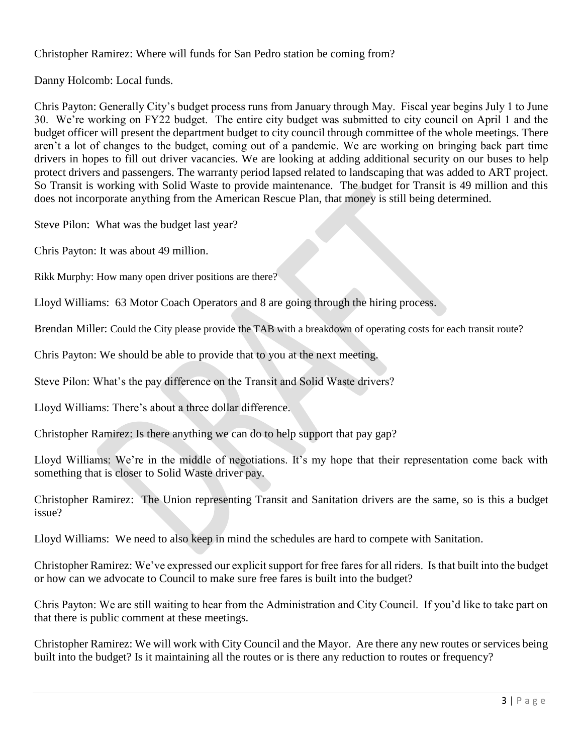Christopher Ramirez: Where will funds for San Pedro station be coming from?

Danny Holcomb: Local funds.

Chris Payton: Generally City's budget process runs from January through May. Fiscal year begins July 1 to June 30. We're working on FY22 budget. The entire city budget was submitted to city council on April 1 and the budget officer will present the department budget to city council through committee of the whole meetings. There aren't a lot of changes to the budget, coming out of a pandemic. We are working on bringing back part time drivers in hopes to fill out driver vacancies. We are looking at adding additional security on our buses to help protect drivers and passengers. The warranty period lapsed related to landscaping that was added to ART project. So Transit is working with Solid Waste to provide maintenance. The budget for Transit is 49 million and this does not incorporate anything from the American Rescue Plan, that money is still being determined.

Steve Pilon: What was the budget last year?

Chris Payton: It was about 49 million.

Rikk Murphy: How many open driver positions are there?

Lloyd Williams: 63 Motor Coach Operators and 8 are going through the hiring process.

Brendan Miller: Could the City please provide the TAB with a breakdown of operating costs for each transit route?

Chris Payton: We should be able to provide that to you at the next meeting.

Steve Pilon: What's the pay difference on the Transit and Solid Waste drivers?

Lloyd Williams: There's about a three dollar difference.

Christopher Ramirez: Is there anything we can do to help support that pay gap?

Lloyd Williams: We're in the middle of negotiations. It's my hope that their representation come back with something that is closer to Solid Waste driver pay.

Christopher Ramirez: The Union representing Transit and Sanitation drivers are the same, so is this a budget issue?

Lloyd Williams: We need to also keep in mind the schedules are hard to compete with Sanitation.

Christopher Ramirez: We've expressed our explicit support for free fares for all riders. Is that built into the budget or how can we advocate to Council to make sure free fares is built into the budget?

Chris Payton: We are still waiting to hear from the Administration and City Council. If you'd like to take part on that there is public comment at these meetings.

Christopher Ramirez: We will work with City Council and the Mayor. Are there any new routes or services being built into the budget? Is it maintaining all the routes or is there any reduction to routes or frequency?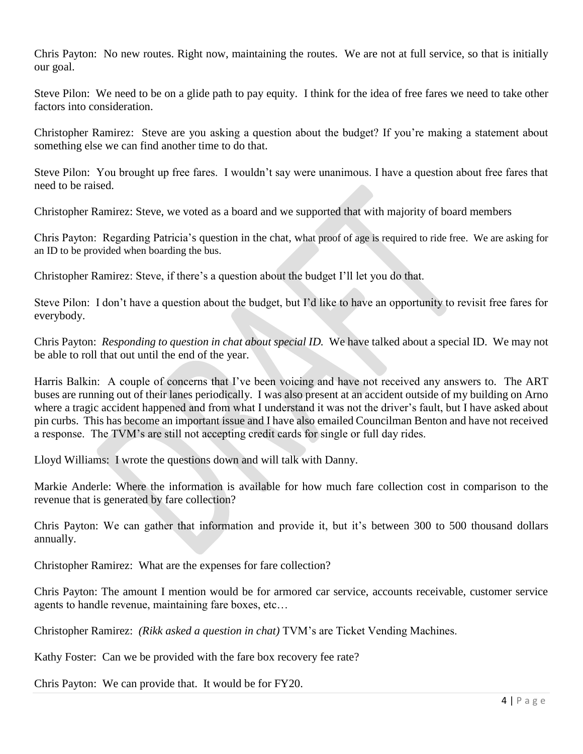Chris Payton: No new routes. Right now, maintaining the routes. We are not at full service, so that is initially our goal.

Steve Pilon: We need to be on a glide path to pay equity. I think for the idea of free fares we need to take other factors into consideration.

Christopher Ramirez: Steve are you asking a question about the budget? If you're making a statement about something else we can find another time to do that.

Steve Pilon: You brought up free fares. I wouldn't say were unanimous. I have a question about free fares that need to be raised.

Christopher Ramirez: Steve, we voted as a board and we supported that with majority of board members

Chris Payton: Regarding Patricia's question in the chat, what proof of age is required to ride free. We are asking for an ID to be provided when boarding the bus.

Christopher Ramirez: Steve, if there's a question about the budget I'll let you do that.

Steve Pilon: I don't have a question about the budget, but I'd like to have an opportunity to revisit free fares for everybody.

Chris Payton: *Responding to question in chat about special ID.* We have talked about a special ID. We may not be able to roll that out until the end of the year.

Harris Balkin: A couple of concerns that I've been voicing and have not received any answers to. The ART buses are running out of their lanes periodically. I was also present at an accident outside of my building on Arno where a tragic accident happened and from what I understand it was not the driver's fault, but I have asked about pin curbs. This has become an important issue and I have also emailed Councilman Benton and have not received a response. The TVM's are still not accepting credit cards for single or full day rides.

Lloyd Williams: I wrote the questions down and will talk with Danny.

Markie Anderle: Where the information is available for how much fare collection cost in comparison to the revenue that is generated by fare collection?

Chris Payton: We can gather that information and provide it, but it's between 300 to 500 thousand dollars annually.

Christopher Ramirez: What are the expenses for fare collection?

Chris Payton: The amount I mention would be for armored car service, accounts receivable, customer service agents to handle revenue, maintaining fare boxes, etc…

Christopher Ramirez: *(Rikk asked a question in chat)* TVM's are Ticket Vending Machines.

Kathy Foster: Can we be provided with the fare box recovery fee rate?

Chris Payton: We can provide that. It would be for FY20.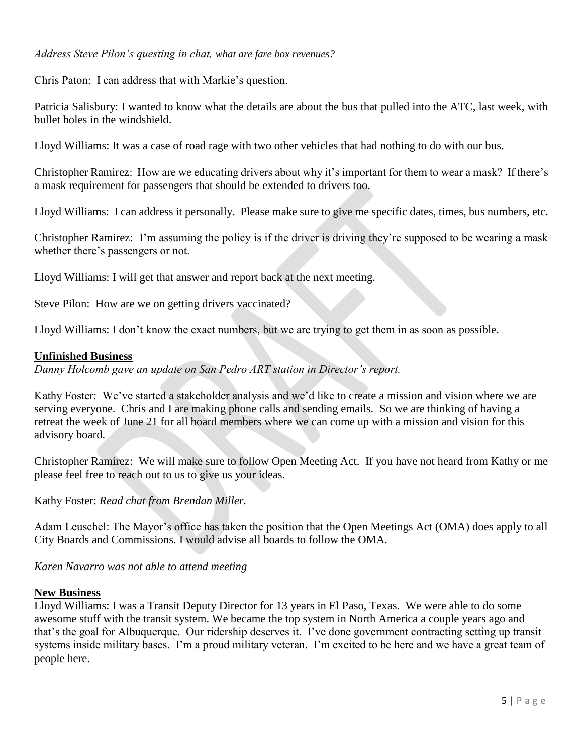### *Address Steve Pilon's questing in chat, what are fare box revenues?*

Chris Paton: I can address that with Markie's question.

Patricia Salisbury: I wanted to know what the details are about the bus that pulled into the ATC, last week, with bullet holes in the windshield.

Lloyd Williams: It was a case of road rage with two other vehicles that had nothing to do with our bus.

Christopher Ramirez: How are we educating drivers about why it's important for them to wear a mask? If there's a mask requirement for passengers that should be extended to drivers too.

Lloyd Williams: I can address it personally. Please make sure to give me specific dates, times, bus numbers, etc.

Christopher Ramirez: I'm assuming the policy is if the driver is driving they're supposed to be wearing a mask whether there's passengers or not.

Lloyd Williams: I will get that answer and report back at the next meeting.

Steve Pilon: How are we on getting drivers vaccinated?

Lloyd Williams: I don't know the exact numbers, but we are trying to get them in as soon as possible.

### **Unfinished Business**

*Danny Holcomb gave an update on San Pedro ART station in Director's report.*

Kathy Foster: We've started a stakeholder analysis and we'd like to create a mission and vision where we are serving everyone. Chris and I are making phone calls and sending emails. So we are thinking of having a retreat the week of June 21 for all board members where we can come up with a mission and vision for this advisory board.

Christopher Ramirez: We will make sure to follow Open Meeting Act. If you have not heard from Kathy or me please feel free to reach out to us to give us your ideas.

Kathy Foster: *Read chat from Brendan Miller.* 

Adam Leuschel: The Mayor's office has taken the position that the Open Meetings Act (OMA) does apply to all City Boards and Commissions. I would advise all boards to follow the OMA.

*Karen Navarro was not able to attend meeting* 

### **New Business**

Lloyd Williams: I was a Transit Deputy Director for 13 years in El Paso, Texas. We were able to do some awesome stuff with the transit system. We became the top system in North America a couple years ago and that's the goal for Albuquerque. Our ridership deserves it. I've done government contracting setting up transit systems inside military bases. I'm a proud military veteran. I'm excited to be here and we have a great team of people here.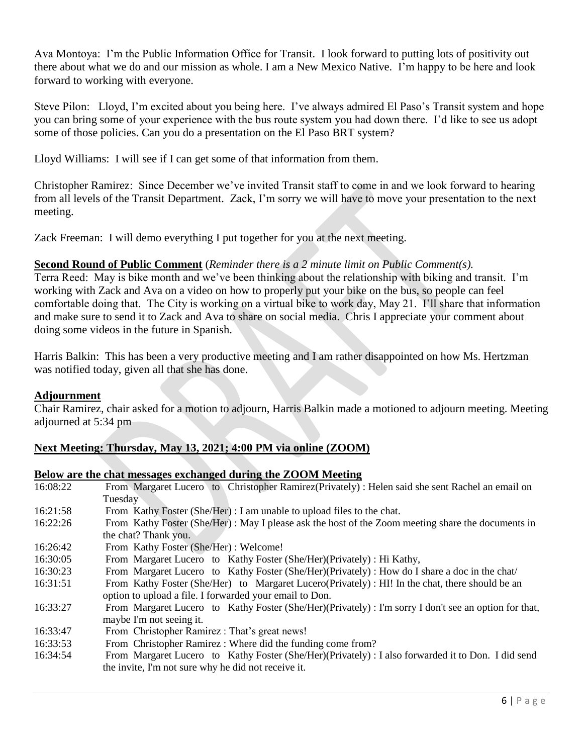Ava Montoya: I'm the Public Information Office for Transit. I look forward to putting lots of positivity out there about what we do and our mission as whole. I am a New Mexico Native. I'm happy to be here and look forward to working with everyone.

Steve Pilon: Lloyd, I'm excited about you being here. I've always admired El Paso's Transit system and hope you can bring some of your experience with the bus route system you had down there. I'd like to see us adopt some of those policies. Can you do a presentation on the El Paso BRT system?

Lloyd Williams: I will see if I can get some of that information from them.

Christopher Ramirez: Since December we've invited Transit staff to come in and we look forward to hearing from all levels of the Transit Department. Zack, I'm sorry we will have to move your presentation to the next meeting.

Zack Freeman: I will demo everything I put together for you at the next meeting.

## **Second Round of Public Comment** (*Reminder there is a 2 minute limit on Public Comment(s).*

Terra Reed: May is bike month and we've been thinking about the relationship with biking and transit. I'm working with Zack and Ava on a video on how to properly put your bike on the bus, so people can feel comfortable doing that. The City is working on a virtual bike to work day, May 21. I'll share that information and make sure to send it to Zack and Ava to share on social media. Chris I appreciate your comment about doing some videos in the future in Spanish.

Harris Balkin: This has been a very productive meeting and I am rather disappointed on how Ms. Hertzman was notified today, given all that she has done.

## **Adjournment**

Chair Ramirez, chair asked for a motion to adjourn, Harris Balkin made a motioned to adjourn meeting. Meeting adjourned at 5:34 pm

# **Next Meeting: Thursday, May 13, 2021; 4:00 PM via online (ZOOM)**

### **Below are the chat messages exchanged during the ZOOM Meeting**

| 16:08:22 | From Margaret Lucero to Christopher Ramirez (Privately) : Helen said she sent Rachel an email on      |
|----------|-------------------------------------------------------------------------------------------------------|
|          | Tuesday                                                                                               |
| 16:21:58 | From Kathy Foster (She/Her) : I am unable to upload files to the chat.                                |
| 16:22:26 | From Kathy Foster (She/Her): May I please ask the host of the Zoom meeting share the documents in     |
|          | the chat? Thank you.                                                                                  |
| 16:26:42 | From Kathy Foster (She/Her) : Welcome!                                                                |
| 16:30:05 | From Margaret Lucero to Kathy Foster (She/Her) (Privately) : Hi Kathy,                                |
| 16:30:23 | From Margaret Lucero to Kathy Foster (She/Her)(Privately) : How do I share a doc in the chat/         |
| 16:31:51 | From Kathy Foster (She/Her) to Margaret Lucero (Privately) : HI! In the chat, there should be an      |
|          | option to upload a file. I forwarded your email to Don.                                               |
| 16:33:27 | From Margaret Lucero to Kathy Foster (She/Her)(Privately) : I'm sorry I don't see an option for that, |
|          | maybe I'm not seeing it.                                                                              |
| 16:33:47 | From Christopher Ramirez: That's great news!                                                          |
| 16:33:53 | From Christopher Ramirez: Where did the funding come from?                                            |
| 16:34:54 | From Margaret Lucero to Kathy Foster (She/Her)(Privately) : I also forwarded it to Don. I did send    |
|          | the invite, I'm not sure why he did not receive it.                                                   |